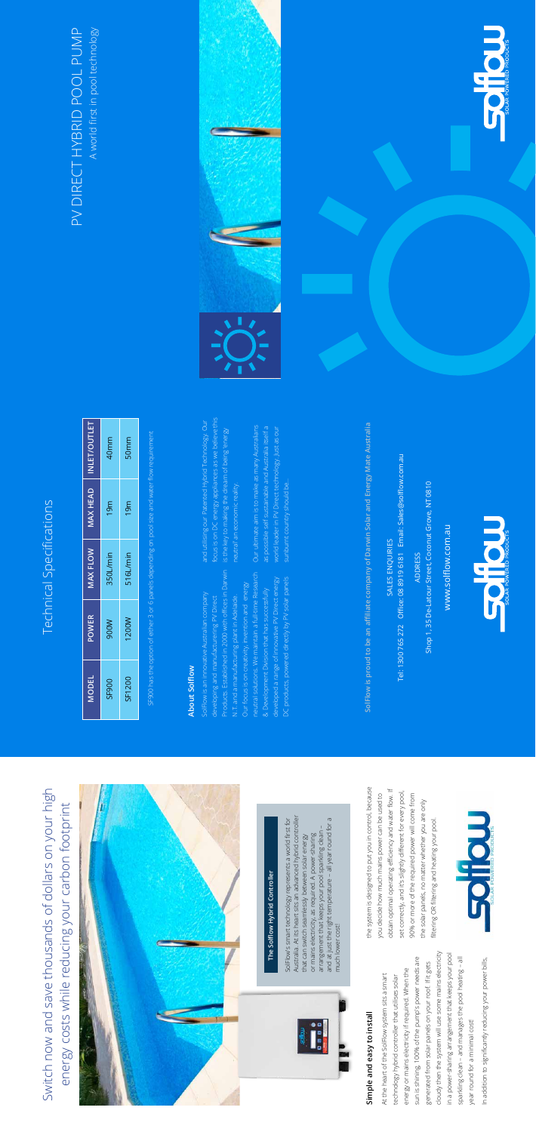# Technical Specifications Technical Specifications

Switch now and save thousands of dollars on your high

Switch now and save thousands of dollars on your high

energy costs while reducing your carbon footprint

energy costs while reducing your carbon footprint

cloudy then the system will use some mains electricity sun is shining, 100% of the pump's power needs are sun is shining, 100% of the pump's power needs are generated from solar panels on your roof. If it gets generated from solar panels on your roof. If it gets energy or mains electricity if required. When the energy or mains electricity if required. When the At the heart of the SolFlow system sits a smart At the heart of the SolFlow system sits a smart technology hybrid controller that utilises solar technology hybrid controller that utilises solar

**Simple and easy to install**

Simple and easy to install

the system is designed to put you in control, because the system is designed to put you in control, because obtain optimal operating efficiency and water flow. If obtain optimal operating efficiency and water flow. If set correctly, and it's slightly different for every pool, set correctly, and it's slightly different for every pool, you decide how much mains power can be used to you decide how much mains power can be used to 90% or more of the required power will come from 90% or more of the required power will come from the solar panels, no matter whether you are only the solar panels, no matter whether you are only

> cloudy then the system will use some mains electricity in a power-sharing arrangement that keeps your pool sparkling clean – and manages the pool heating – all

in a power-sharing arrangement that keeps your pool

sparkling clean - and manages the pool heating - all

filtering OR filtering and heating your pool. filtering OR filtering and heating your pool.

In addition to significantly reducing your power bills, In addition to significantly reducing your power bills, year round for a minimal cost! year round for a minimal cost!

## A world first in pool technology PV DIRECT HYBRID POOL PUMP PV DIRECT HYBRID POOL PUMP A world first in pool technology





### About Solflow **About Solflow**

Products. Established in 2000 with offices in Darwin neutral solutions. We maintain a full-time Research DC products, powered directly by PV solar panels developed a range of innovative PV Direct energy developed a range of innovative PV Direct energy DC products, powered directly by PV solar panels neutral solutions. We maintain a full-time Resear Our focus is on creativity, invention and energy Our focus is on creativity, invention and energy Products. Established in 2000 with offices in Da & Development Division that has successfully & Development Division that has successfully SolFlow is an innovative Australian company SolFlow is an innovative Australian company N.T. and a manufacturing plant in Adelaide. N.T. and a manufacturing plant in Adelaide. developing and manufacturering PV Direct developing and manufacturering PV Direct

focus is on DC energy appliances as we believe this focus is on DC energy appliances as we believe this and utilising our Patented Hybrid Technology. Our and utilising our Patented Hybrid Technology. Our is the key to making the dream of being 'energy is the key to making the dream of being 'energy neutral' an economic reality. neutral' an economic reality.

> SolFlow's smart technology represents a world first for Australia. At its heart sits an advanced hybrid controller that can switch seamlessly between solar energy or mains electricity, as required. A power-sharing arrangement that keeps your pool sparkling clean – and at just the right temperature – all year round for a

SolFlow's smart technology represents a world first for

Australia. At its heart sits an advanced hybrid controller

SolFlow is proud to be an affiliate company of Darwin Solar and Energy Mate Australia **SolFlow is proud to be an affiliate company of Darwin Solar and Energy Mate Australia** SALES ENQUIRIES SALES ENQUIRIES

Tel: 1300 765 272 Office: 08 8919 6181 Email: Sales@solflow.com.au Tel: 1300 765 272 Office: 08 8919 6181 Email: Sales@solflow.com.au ADDRESS

Shop 1, 35 De-Latour Street, Coconut Grove, NT 0810 Shop 1, 35 De-Latour Street, Coconut Grove, NT 0810



www.solflow.com.au www.solflow.com.au

much lower cost!



much lower cost!

and at just the right temperature - all year round for a

arrangement that keeps your pool sparkling clean or mains electricity, as required. A power-sharing that can switch seamlessly between solar energy

SOITOUT

| <b>MODEL</b> | <b>POWER</b> | <b>MAX FLOW</b> | MAX HEAD        | <b>INLET/OUTLET</b> |
|--------------|--------------|-----------------|-----------------|---------------------|
| SF900        | <b>M006</b>  | 350L/min        | 19 <sub>m</sub> | 40 <sub>mm</sub>    |
| SF1200       | 1200W        | 516L/min        | 19 <sub>m</sub> | 50mm                |
|              |              |                 |                 |                     |

**The Solflow Hybrid Controller**

The Solflow Hybrid Controller

SF900 has the option of either 3 or 6 panels depending on pool size and water flow requirement

Our ultimate aim is to make as many Australians world leader in PV Direct technology. Just as our Our ultimate aim is to make as many Australians as possible self sustainable and Australia itself a as possible self sustainable and Australia itself a world leader in PV Direct technology. Just as our sunburnt country should be... sunburnt country should be...